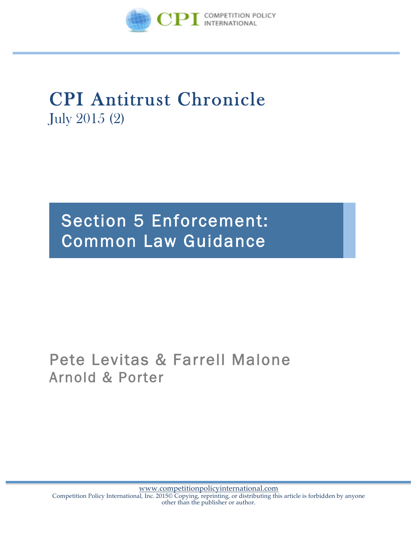

# CPI Antitrust Chronicle July 2015 (2)

## Section 5 Enforcement: Common Law Guidance

### Pete Levitas & Farrell Malone Arnold & Porter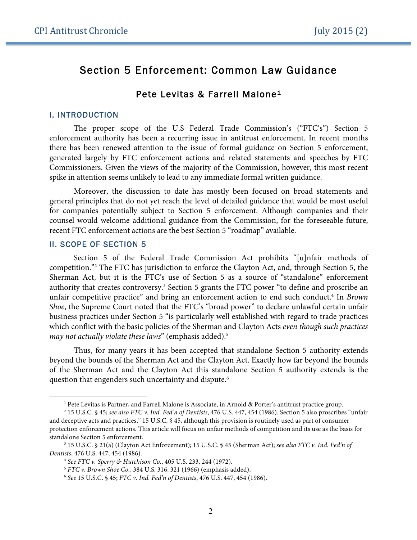#### Section 5 Enforcement: Common Law Guidance

#### Pete Levitas & Farrell Malone1

#### I. INTRODUCTION

The proper scope of the U.S Federal Trade Commission's ("FTC's") Section 5 enforcement authority has been a recurring issue in antitrust enforcement. In recent months there has been renewed attention to the issue of formal guidance on Section 5 enforcement, generated largely by FTC enforcement actions and related statements and speeches by FTC Commissioners. Given the views of the majority of the Commission, however, this most recent spike in attention seems unlikely to lead to any immediate formal written guidance.

Moreover, the discussion to date has mostly been focused on broad statements and general principles that do not yet reach the level of detailed guidance that would be most useful for companies potentially subject to Section 5 enforcement. Although companies and their counsel would welcome additional guidance from the Commission, for the foreseeable future, recent FTC enforcement actions are the best Section 5 "roadmap" available.

#### II. SCOPE OF SECTION 5

 $\overline{a}$ 

Section 5 of the Federal Trade Commission Act prohibits "[u]nfair methods of competition."2 The FTC has jurisdiction to enforce the Clayton Act, and, through Section 5, the Sherman Act, but it is the FTC's use of Section 5 as a source of "standalone" enforcement authority that creates controversy.<sup>3</sup> Section 5 grants the FTC power "to define and proscribe an unfair competitive practice" and bring an enforcement action to end such conduct.4 In *Brown Shoe*, the Supreme Court noted that the FTC's "broad power" to declare unlawful certain unfair business practices under Section 5 "is particularly well established with regard to trade practices which conflict with the basic policies of the Sherman and Clayton Acts *even though such practices may not actually violate these laws*" (emphasis added).5

Thus, for many years it has been accepted that standalone Section 5 authority extends beyond the bounds of the Sherman Act and the Clayton Act. Exactly how far beyond the bounds of the Sherman Act and the Clayton Act this standalone Section 5 authority extends is the question that engenders such uncertainty and dispute.<sup>6</sup>

<sup>&</sup>lt;sup>1</sup> Pete Levitas is Partner, and Farrell Malone is Associate, in Arnold & Porter's antitrust practice group.

<sup>2</sup> 15 U.S.C. § 45; *see also FTC v. Ind. Fed'n of Dentists*, 476 U.S. 447, 454 (1986). Section 5 also proscribes "unfair and deceptive acts and practices," 15 U.S.C. § 45, although this provision is routinely used as part of consumer protection enforcement actions. This article will focus on unfair methods of competition and its use as the basis for standalone Section 5 enforcement.

<sup>3</sup> 15 U.S.C. § 21(a) (Clayton Act Enforcement); 15 U.S.C. § 45 (Sherman Act); *see also FTC v. Ind. Fed'n of Dentists*, 476 U.S. 447, 454 (1986).

<sup>4</sup> *See FTC v. Sperry & Hutchison Co.*, 405 U.S. 233, 244 (1972).

<sup>5</sup> *FTC v. Brown Shoe Co.*, 384 U.S. 316, 321 (1966) (emphasis added).

<sup>6</sup> *See* 15 U.S.C. § 45; *FTC v. Ind. Fed'n of Dentists*, 476 U.S. 447, 454 (1986).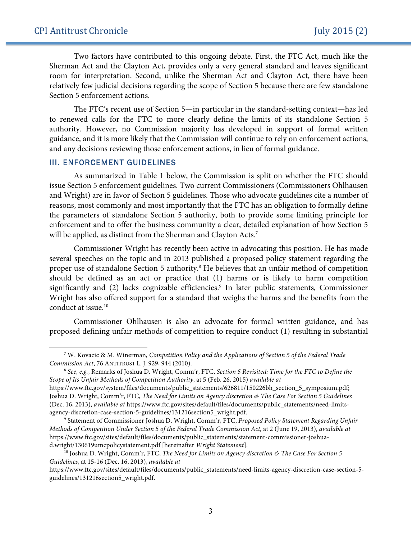$\overline{a}$ 

Two factors have contributed to this ongoing debate. First, the FTC Act, much like the Sherman Act and the Clayton Act, provides only a very general standard and leaves significant room for interpretation. Second, unlike the Sherman Act and Clayton Act, there have been relatively few judicial decisions regarding the scope of Section 5 because there are few standalone Section 5 enforcement actions.

The FTC's recent use of Section 5—in particular in the standard-setting context—has led to renewed calls for the FTC to more clearly define the limits of its standalone Section 5 authority. However, no Commission majority has developed in support of formal written guidance, and it is more likely that the Commission will continue to rely on enforcement actions, and any decisions reviewing those enforcement actions, in lieu of formal guidance.

#### III. ENFORCEMENT GUIDELINES

As summarized in Table 1 below, the Commission is split on whether the FTC should issue Section 5 enforcement guidelines. Two current Commissioners (Commissioners Ohlhausen and Wright) are in favor of Section 5 guidelines. Those who advocate guidelines cite a number of reasons, most commonly and most importantly that the FTC has an obligation to formally define the parameters of standalone Section 5 authority, both to provide some limiting principle for enforcement and to offer the business community a clear, detailed explanation of how Section 5 will be applied, as distinct from the Sherman and Clayton Acts.<sup>7</sup>

Commissioner Wright has recently been active in advocating this position. He has made several speeches on the topic and in 2013 published a proposed policy statement regarding the proper use of standalone Section 5 authority.<sup>8</sup> He believes that an unfair method of competition should be defined as an act or practice that (1) harms or is likely to harm competition significantly and (2) lacks cognizable efficiencies.<sup>9</sup> In later public statements, Commissioner Wright has also offered support for a standard that weighs the harms and the benefits from the conduct at issue.10

Commissioner Ohlhausen is also an advocate for formal written guidance, and has proposed defining unfair methods of competition to require conduct (1) resulting in substantial

<sup>7</sup> W. Kovacic & M. Winerman, *Competition Policy and the Applications of Section 5 of the Federal Trade Commission Act*, 76 ANTITRUST L. J. 929, 944 (2010).

<sup>8</sup> *See, e.g.*, Remarks of Joshua D. Wright, Comm'r, FTC, *Section 5 Revisited: Time for the FTC to Define the Scope of Its Unfair Methods of Competition Authority*, at 5 (Feb. 26, 2015) *available at* https://www.ftc.gov/system/files/documents/public\_statements/626811/150226bh\_section\_5\_symposium.pdf; Joshua D. Wright, Comm'r, FTC, *The Need for Limits on Agency discretion & The Case For Section 5 Guidelines* (Dec. 16, 2013), *available at* https://www.ftc.gov/sites/default/files/documents/public\_statements/need-limitsagency-discretion-case-section-5-guidelines/131216section5\_wright.pdf.

<sup>9</sup> Statement of Commissioner Joshua D. Wright, Comm'r, FTC, *Proposed Policy Statement Regarding Unfair Methods of Competition Under Section 5 of the Federal Trade Commission Act*, at 2 (June 19, 2013), *available at* https://www.ftc.gov/sites/default/files/documents/public\_statements/statement-commissioner-joshuad.wright/130619umcpolicystatement.pdf [hereinafter *Wright Statement*].

<sup>10</sup> Joshua D. Wright, Comm'r, FTC, *The Need for Limits on Agency discretion & The Case For Section 5 Guidelines*, at 15-16 (Dec. 16, 2013), *available at*

https://www.ftc.gov/sites/default/files/documents/public\_statements/need-limits-agency-discretion-case-section-5 guidelines/131216section5\_wright.pdf.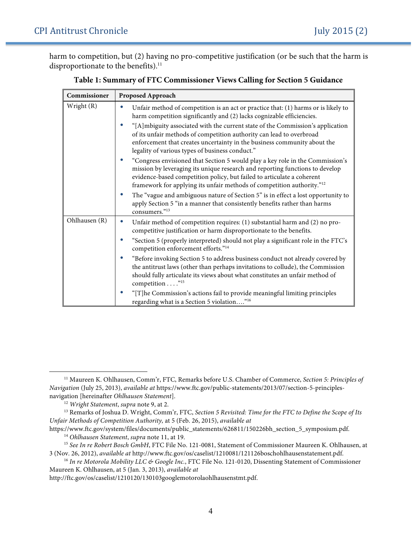harm to competition, but (2) having no pro-competitive justification (or be such that the harm is disproportionate to the benefits).<sup>11</sup>

| Commissioner  | Proposed Approach                                                                                                                                                                                                                                                                                                             |  |
|---------------|-------------------------------------------------------------------------------------------------------------------------------------------------------------------------------------------------------------------------------------------------------------------------------------------------------------------------------|--|
| Wright (R)    | Unfair method of competition is an act or practice that: (1) harms or is likely to<br>harm competition significantly and (2) lacks cognizable efficiencies.                                                                                                                                                                   |  |
|               | "[A]mbiguity associated with the current state of the Commission's application<br>of its unfair methods of competition authority can lead to overbroad<br>enforcement that creates uncertainty in the business community about the<br>legality of various types of business conduct."                                         |  |
|               | "Congress envisioned that Section 5 would play a key role in the Commission's<br>mission by leveraging its unique research and reporting functions to develop<br>evidence-based competition policy, but failed to articulate a coherent<br>framework for applying its unfair methods of competition authority." <sup>12</sup> |  |
|               | The "vague and ambiguous nature of Section 5" is in effect a lost opportunity to<br>apply Section 5 "in a manner that consistently benefits rather than harms<br>consumers."13                                                                                                                                                |  |
| Ohlhausen (R) | Unfair method of competition requires: (1) substantial harm and (2) no pro-<br>$\bullet$<br>competitive justification or harm disproportionate to the benefits.                                                                                                                                                               |  |
|               | "Section 5 (properly interpreted) should not play a significant role in the FTC's<br>competition enforcement efforts." <sup>14</sup>                                                                                                                                                                                          |  |
|               | "Before invoking Section 5 to address business conduct not already covered by<br>the antitrust laws (other than perhaps invitations to collude), the Commission<br>should fully articulate its views about what constitutes an unfair method of<br>competition "15                                                            |  |
|               | "[T]he Commission's actions fail to provide meaningful limiting principles<br>regarding what is a Section 5 violation" <sup>16</sup>                                                                                                                                                                                          |  |

|  | Table 1: Summary of FTC Commissioner Views Calling for Section 5 Guidance |
|--|---------------------------------------------------------------------------|
|  |                                                                           |

 $\overline{a}$ 

<sup>11</sup> Maureen K. Ohlhausen, Comm'r, FTC, Remarks before U.S. Chamber of Commerce, *Section 5: Principles of Navigation* (July 25, 2013), *available at* https://www.ftc.gov/public-statements/2013/07/section-5-principlesnavigation [hereinafter *Ohlhausen Statement*].

<sup>12</sup> *Wright Statement*, *supra* note 9, at 2.

<sup>&</sup>lt;sup>13</sup> Remarks of Joshua D. Wright, Comm'r, FTC, *Section 5 Revisited: Time for the FTC to Define the Scope of Its Unfair Methods of Competition Authority,* at 5 (Feb. 26, 2015), *available at* 

https://www.ftc.gov/system/files/documents/public\_statements/626811/150226bh\_section\_5\_symposium.pdf. <sup>14</sup> *Ohlhausen Statement*, *supra* note 11, at 19.

<sup>15</sup> *See In re Robert Bosch GmbH*, FTC File No. 121-0081, Statement of Commissioner Maureen K. Ohlhausen, at 3 (Nov. 26, 2012), *available at* http://www.ftc.gov/os/caselist/1210081/121126boschohlhausenstatement.pdf.

<sup>16</sup> *In re Motorola Mobility LLC & Google Inc.*, FTC File No. 121-0120, Dissenting Statement of Commissioner Maureen K. Ohlhausen, at 5 (Jan. 3, 2013), *available at*

http://ftc.gov/os/caselist/1210120/130103googlemotorolaohlhausenstmt.pdf.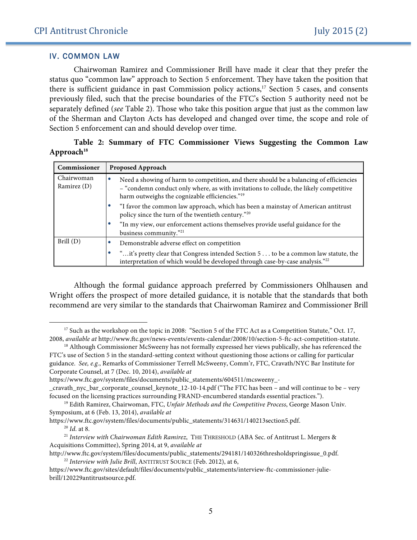#### IV. COMMON LAW

 $\overline{a}$ 

Chairwoman Ramirez and Commissioner Brill have made it clear that they prefer the status quo "common law" approach to Section 5 enforcement. They have taken the position that there is sufficient guidance in past Commission policy actions,<sup>17</sup> Section 5 cases, and consents previously filed, such that the precise boundaries of the FTC's Section 5 authority need not be separately defined (*see* Table 2). Those who take this position argue that just as the common law of the Sherman and Clayton Acts has developed and changed over time, the scope and role of Section 5 enforcement can and should develop over time.

#### **Table 2: Summary of FTC Commissioner Views Suggesting the Common Law**  Approach<sup>18</sup>

| Commissioner              | Proposed Approach                                                                                                                                                                                                                             |  |
|---------------------------|-----------------------------------------------------------------------------------------------------------------------------------------------------------------------------------------------------------------------------------------------|--|
| Chairwoman<br>Ramirez (D) | Need a showing of harm to competition, and there should be a balancing of efficiencies<br>- "condemn conduct only where, as with invitations to collude, the likely competitive<br>harm outweighs the cognizable efficiencies." <sup>19</sup> |  |
|                           | "I favor the common law approach, which has been a mainstay of American antitrust<br>policy since the turn of the twentieth century."20                                                                                                       |  |
|                           | "In my view, our enforcement actions themselves provide useful guidance for the<br>business community." <sup>21</sup>                                                                                                                         |  |
| Brill(D)                  | Demonstrable adverse effect on competition                                                                                                                                                                                                    |  |
|                           | "it's pretty clear that Congress intended Section 5 to be a common law statute, the<br>interpretation of which would be developed through case-by-case analysis."22                                                                           |  |

Although the formal guidance approach preferred by Commissioners Ohlhausen and Wright offers the prospect of more detailed guidance, it is notable that the standards that both recommend are very similar to the standards that Chairwoman Ramirez and Commissioner Brill

https://www.ftc.gov/system/files/documents/public\_statements/604511/mcsweeny\_-

<sup>&</sup>lt;sup>17</sup> Such as the workshop on the topic in 2008: "Section 5 of the FTC Act as a Competition Statute," Oct. 17, 2008, *available at* http://www.ftc.gov/news-events/events-calendar/2008/10/section-5-ftc-act-competition-statute.

<sup>&</sup>lt;sup>18</sup> Although Commissioner McSweeny has not formally expressed her views publically, she has referenced the FTC's use of Section 5 in the standard-setting context without questioning those actions or calling for particular guidance. *See, e.g.*, Remarks of Commissioner Terrell McSweeny, Comm'r, FTC, Cravath/NYC Bar Institute for Corporate Counsel, at 7 (Dec. 10, 2014), *available at*

cravath nyc bar corporate counsel keynote  $12$ -10-14.pdf ("The FTC has been – and will continue to be – very focused on the licensing practices surrounding FRAND-encumbered standards essential practices.").

<sup>19</sup> Edith Ramirez, Chairwoman, FTC, *Unfair Methods and the Competitive Process*, George Mason Univ. Symposium, at 6 (Feb. 13, 2014), *available at* 

https://www.ftc.gov/system/files/documents/public\_statements/314631/140213section5.pdf. <sup>20</sup> *Id*. at 8.

<sup>21</sup> *Interview with Chairwoman Edith Ramirez*, THE THRESHOLD (ABA Sec. of Antitrust L. Mergers & Acquisitions Committee), Spring 2014, at 9, *available at* 

http://www.ftc.gov/system/files/documents/public\_statements/294181/140326thresholdspringissue\_0.pdf. <sup>22</sup> *Interview with Julie Brill*, ANTITRUST SOURCE (Feb. 2012), at 6,

https://www.ftc.gov/sites/default/files/documents/public\_statements/interview-ftc-commissioner-juliebrill/120229antitrustsource.pdf.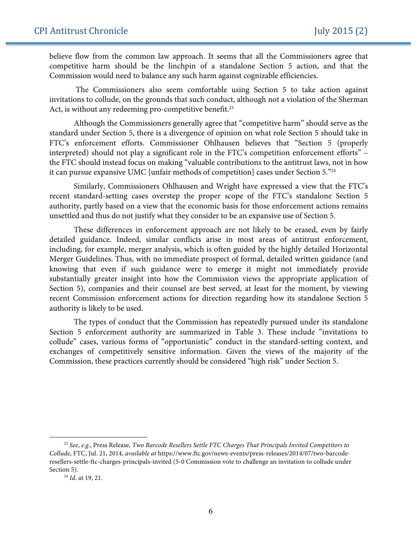believe flow from the common law approach. It seems that all the Commissioners agree that competitive harm should be the linchpin of a standalone Section 5 action, and that the Commission would need to balance any such harm against cognizable efficiencies.

The Commissioners also seem comfortable using Section 5 to take action against invitations to collude, on the grounds that such conduct, although not a violation of the Sherman Act, is without any redeeming pro-competitive benefit.<sup>23</sup>

Although the Commissioners generally agree that "competitive harm" should serve as the standard under Section 5, there is a divergence of opinion on what role Section 5 should take in FTC's enforcement efforts. Commissioner Ohlhausen believes that "Section 5 (properly interpreted) should not play a significant role in the FTC's competition enforcement efforts" – the FTC should instead focus on making "valuable contributions to the antitrust laws, not in how it can pursue expansive UMC [unfair methods of competition] cases under Section 5."24

Similarly, Commissioners Ohlhausen and Wright have expressed a view that the FTC's recent standard-setting cases overstep the proper scope of the FTC's standalone Section 5 authority, partly based on a view that the economic basis for those enforcement actions remains unsettled and thus do not justify what they consider to be an expansive use of Section 5.

These differences in enforcement approach are not likely to be erased, even by fairly detailed guidance. Indeed, similar conflicts arise in most areas of antitrust enforcement, including, for example, merger analysis, which is often guided by the highly detailed Horizontal Merger Guidelines. Thus, with no immediate prospect of formal, detailed written guidance (and knowing that even if such guidance were to emerge it might not immediately provide substantially greater insight into how the Commission views the appropriate application of Section 5), companies and their counsel are best served, at least for the moment, by viewing recent Commission enforcement actions for direction regarding how its standalone Section 5 authority is likely to be used.

The types of conduct that the Commission has repeatedly pursued under its standalone Section 5 enforcement authority are summarized in Table 3. These include "invitations to collude" cases, various forms of "opportunistic" conduct in the standard-setting context, and exchanges of competitively sensitive information. Given the views of the majority of the Commission, these practices currently should be considered "high risk" under Section 5.

 $\overline{a}$ 

<sup>23</sup> *See*, *e.g.*, Press Release, *Two Barcode Resellers Settle FTC Charges That Principals Invited Competitors to Collude*, FTC, Jul. 21, 2014, *available at* https://www.ftc.gov/news-events/press-releases/2014/07/two-barcoderesellers-settle-ftc-charges-principals-invited (5-0 Commission vote to challenge an invitation to collude under Section 5).

<sup>24</sup> *Id*. at 19, 21.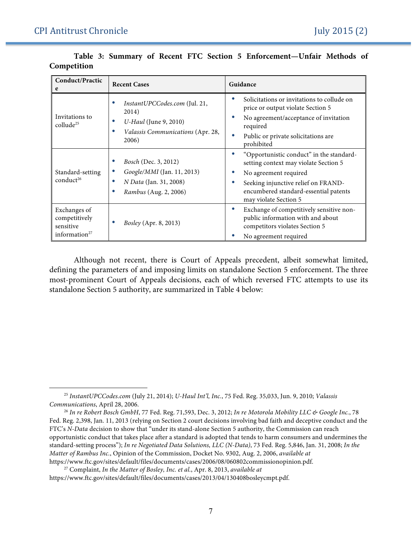$\overline{a}$ 

| Conduct/Practic<br>e                                                    | <b>Recent Cases</b>                                                                                                            | Guidance                                                                                                                                                                                                            |
|-------------------------------------------------------------------------|--------------------------------------------------------------------------------------------------------------------------------|---------------------------------------------------------------------------------------------------------------------------------------------------------------------------------------------------------------------|
| Invitations to<br>collude <sup>25</sup>                                 | InstantUPCCodes.com (Jul. 21,<br>2014)<br><i>U-Haul</i> (June 9, 2010)<br>۰<br>Valassis Communications (Apr. 28,<br>٠<br>2006) | Solicitations or invitations to collude on<br>price or output violate Section 5<br>No agreement/acceptance of invitation<br>required<br>Public or private solicitations are<br>prohibited                           |
| Standard-setting<br>conduct <sup>26</sup>                               | Bosch (Dec. 3, 2012)<br>Google/MMI (Jan. 11, 2013)<br><i>N Data</i> (Jan. 31, 2008)<br>Rambus (Aug. 2, 2006)<br>٠              | "Opportunistic conduct" in the standard-<br>setting context may violate Section 5<br>No agreement required<br>Seeking injunctive relief on FRAND-<br>encumbered standard-essential patents<br>may violate Section 5 |
| Exchanges of<br>competitively<br>sensitive<br>information <sup>27</sup> | Bosley (Apr. 8, 2013)                                                                                                          | Exchange of competitively sensitive non-<br>public information with and about<br>competitors violates Section 5<br>No agreement required                                                                            |

**Table 3: Summary of Recent FTC Section 5 Enforcement—Unfair Methods of Competition**

Although not recent, there is Court of Appeals precedent, albeit somewhat limited, defining the parameters of and imposing limits on standalone Section 5 enforcement. The three most-prominent Court of Appeals decisions, each of which reversed FTC attempts to use its standalone Section 5 authority, are summarized in Table 4 below:

<sup>25</sup> *InstantUPCCodes.com* (July 21, 2014); *U-Haul Int'l, Inc.*, 75 Fed. Reg. 35,033, Jun. 9, 2010; *Valassis Communications*, April 28, 2006.

<sup>26</sup> *In re Robert Bosch GmbH*, 77 Fed. Reg. 71,593, Dec. 3, 2012; *In re Motorola Mobility LLC & Google Inc.*, 78 Fed. Reg. 2,398, Jan. 11, 2013 (relying on Section 2 court decisions involving bad faith and deceptive conduct and the FTC's *N-Data* decision to show that "under its stand-alone Section 5 authority, the Commission can reach opportunistic conduct that takes place after a standard is adopted that tends to harm consumers and undermines the standard-setting process"); *In re Negotiated Data Solutions, LLC (N-Data)*, 73 Fed. Reg. 5,846, Jan. 31, 2008; *In the Matter of Rambus Inc.*, Opinion of the Commission, Docket No. 9302, Aug. 2, 2006, *available at* https://www.ftc.gov/sites/default/files/documents/cases/2006/08/060802commissionopinion.pdf.

<sup>27</sup> Complaint, *In the Matter of Bosley, Inc. et al.*, Apr. 8, 2013, *available at*  https://www.ftc.gov/sites/default/files/documents/cases/2013/04/130408bosleycmpt.pdf.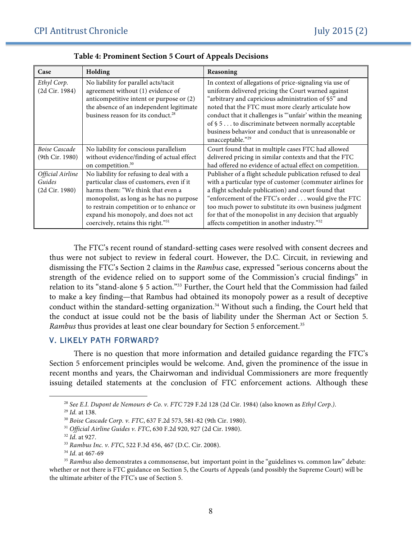| Case                          | Holding                                                                                                                                                                                                             | Reasoning                                                                                                                                                                                                                                                                                                                                                                                                                    |
|-------------------------------|---------------------------------------------------------------------------------------------------------------------------------------------------------------------------------------------------------------------|------------------------------------------------------------------------------------------------------------------------------------------------------------------------------------------------------------------------------------------------------------------------------------------------------------------------------------------------------------------------------------------------------------------------------|
| Ethyl Corp.<br>(2d Cir. 1984) | No liability for parallel acts/tacit<br>agreement without (1) evidence of<br>anticompetitive intent or purpose or (2)<br>the absence of an independent legitimate<br>business reason for its conduct. <sup>28</sup> | In context of allegations of price-signaling via use of<br>uniform delivered pricing the Court warned against<br>"arbitrary and capricious administration of §5" and<br>noted that the FTC must more clearly articulate how<br>conduct that it challenges is "'unfair' within the meaning<br>of § 5 to discriminate between normally acceptable<br>business behavior and conduct that is unreasonable or<br>unacceptable."29 |
| <b>Boise Cascade</b>          | No liability for conscious parallelism                                                                                                                                                                              | Court found that in multiple cases FTC had allowed                                                                                                                                                                                                                                                                                                                                                                           |
| (9th Cir. 1980)               | without evidence/finding of actual effect<br>on competition. <sup>30</sup>                                                                                                                                          | delivered pricing in similar contexts and that the FTC<br>had offered no evidence of actual effect on competition.                                                                                                                                                                                                                                                                                                           |
| Official Airline              | No liability for refusing to deal with a                                                                                                                                                                            | Publisher of a flight schedule publication refused to deal                                                                                                                                                                                                                                                                                                                                                                   |
| Guides                        | particular class of customers, even if it                                                                                                                                                                           | with a particular type of customer (commuter airlines for                                                                                                                                                                                                                                                                                                                                                                    |
| (2d Cir. 1980)                | harms them: "We think that even a                                                                                                                                                                                   | a flight schedule publication) and court found that                                                                                                                                                                                                                                                                                                                                                                          |
|                               | monopolist, as long as he has no purpose                                                                                                                                                                            | "enforcement of the FTC's order would give the FTC                                                                                                                                                                                                                                                                                                                                                                           |
|                               | to restrain competition or to enhance or                                                                                                                                                                            | too much power to substitute its own business judgment                                                                                                                                                                                                                                                                                                                                                                       |
|                               | expand his monopoly, and does not act                                                                                                                                                                               | for that of the monopolist in any decision that arguably                                                                                                                                                                                                                                                                                                                                                                     |
|                               | coercively, retains this right."31                                                                                                                                                                                  | affects competition in another industry."32                                                                                                                                                                                                                                                                                                                                                                                  |

**Table 4: Prominent Section 5 Court of Appeals Decisions**

The FTC's recent round of standard-setting cases were resolved with consent decrees and thus were not subject to review in federal court. However, the D.C. Circuit, in reviewing and dismissing the FTC's Section 2 claims in the *Rambus* case, expressed "serious concerns about the strength of the evidence relied on to support some of the Commission's crucial findings" in relation to its "stand-alone § 5 action."33 Further, the Court held that the Commission had failed to make a key finding—that Rambus had obtained its monopoly power as a result of deceptive conduct within the standard-setting organization.<sup>34</sup> Without such a finding, the Court held that the conduct at issue could not be the basis of liability under the Sherman Act or Section 5. *Rambus* thus provides at least one clear boundary for Section 5 enforcement.<sup>35</sup>

#### V. LIKELY PATH FORWARD?

There is no question that more information and detailed guidance regarding the FTC's Section 5 enforcement principles would be welcome. And, given the prominence of the issue in recent months and years, the Chairwoman and individual Commissioners are more frequently issuing detailed statements at the conclusion of FTC enforcement actions. Although these

 $\overline{a}$ 

<sup>28</sup> *See E.I. Dupont de Nemours & Co. v. FTC* 729 F.2d 128 (2d Cir. 1984) (also known as *Ethyl Corp.)*.

<sup>29</sup> *Id.* at 138.

<sup>&</sup>lt;sup>31</sup> Official Airline Guides v. FTC, 630 F.2d 920, 927 (2d Cir. 1980).

<sup>32</sup> *Id*. at 927.

<sup>33</sup> *Rambus Inc. v. FTC*, 522 F.3d 456, 467 (D.C. Cir. 2008).

<sup>34</sup> *Id*. at 467-69

<sup>&</sup>lt;sup>35</sup> Rambus also demonstrates a commonsense, but important point in the "guidelines vs. common law" debate: whether or not there is FTC guidance on Section 5, the Courts of Appeals (and possibly the Supreme Court) will be the ultimate arbiter of the FTC's use of Section 5.